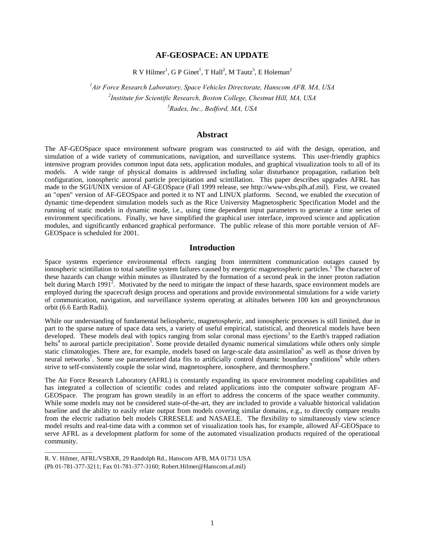# **AF-GEOSPACE: AN UPDATE**

R V Hilmer<sup>1</sup>, G P Ginet<sup>1</sup>, T Hall<sup>2</sup>, M Tautz<sup>3</sup>, E Holeman<sup>2</sup>

*1 Air Force Research Laboratory, Space Vehicles Directorate, Hanscom AFB, MA, USA 2 Institute for Scientific Research, Boston College, Chestnut Hill, MA, USA 3 Radex, Inc., Bedford, MA, USA* 

### **Abstract**

The AF-GEOSpace space environment software program was constructed to aid with the design, operation, and simulation of a wide variety of communications, navigation, and surveillance systems. This user-friendly graphics intensive program provides common input data sets, application modules, and graphical visualization tools to all of its models. A wide range of physical domains is addressed including solar disturbance propagation, radiation belt configuration, ionospheric auroral particle precipitation and scintillation. This paper describes upgrades AFRL has made to the SGI/UNIX version of AF-GEOSpace (Fall 1999 release, see http://www-vsbs.plh.af.mil). First, we created an "open" version of AF-GEOSpace and ported it to NT and LINUX platforms. Second, we enabled the execution of dynamic time-dependent simulation models such as the Rice University Magnetospheric Specification Model and the running of static models in dynamic mode, i.e., using time dependent input parameters to generate a time series of environment specifications. Finally, we have simplified the graphical user interface, improved science and application modules, and significantly enhanced graphical performance. The public release of this more portable version of AF-GEOSpace is scheduled for 2001.

### **Introduction**

Space systems experience environmental effects ranging from intermittent communication outages caused by ionospheric scintillation to total satellite system failures caused by energetic magnetospheric particles.<sup>1</sup> The character of these hazards can change within minutes as illustrated by the formation of a second peak in the inner proton radiation belt during March 1991<sup>2</sup>. Motivated by the need to mitigate the impact of these hazards, space environment models are employed during the spacecraft design process and operations and provide environmental simulations for a wide variety of communication, navigation, and surveillance systems operating at altitudes between 100 km and geosynchronous orbit (6.6 Earth Radii).

While our understanding of fundamental heliospheric, magnetospheric, and ionospheric processes is still limited, due in part to the sparse nature of space data sets, a variety of useful empirical, statistical, and theoretical models have been developed. These models deal with topics ranging from solar coronal mass ejections<sup>3</sup> to the Earth's trapped radiation belts<sup>4</sup> to auroral particle precipitation<sup>5</sup>. Some provide detailed dynamic numerical simulations while others only simple static climatologies. There are, for example, models based on large-scale data assimilation<sup>6</sup> as well as those driven by neural networks<sup>7</sup>. Some use parameterized data fits to artificially control dynamic boundary conditions<sup>8</sup> while others strive to self-consistently couple the solar wind, magnetosphere, ionosphere, and thermosphere.<sup>5</sup>

The Air Force Research Laboratory (AFRL) is constantly expanding its space environment modeling capabilities and has integrated a collection of scientific codes and related applications into the computer software program AF-GEOSpace. The program has grown steadily in an effort to address the concerns of the space weather community. While some models may not be considered state-of-the-art, they are included to provide a valuable historical validation baseline and the ability to easily relate output from models covering similar domains, e.g., to directly compare results from the electric radiation belt models CRRESELE and NASAELE. The flexibility to simultaneously view science model results and real-time data with a common set of visualization tools has, for example, allowed AF-GEOSpace to serve AFRL as a development platform for some of the automated visualization products required of the operational community.

\_\_\_\_\_\_\_\_\_\_\_\_\_\_\_

R. V. Hilmer, AFRL/VSBXR, 29 Randolph Rd., Hanscom AFB, MA 01731 USA (Ph 01-781-377-3211; Fax 01-781-377-3160; Robert.Hilmer@Hanscom.af.mil)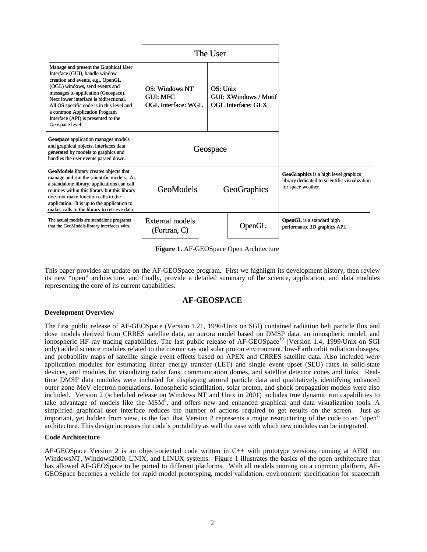|                                                                                                                                                                                                                                                                                                                                                                        | The User                                                      |  |                                                                  |        |                                                                                                             |
|------------------------------------------------------------------------------------------------------------------------------------------------------------------------------------------------------------------------------------------------------------------------------------------------------------------------------------------------------------------------|---------------------------------------------------------------|--|------------------------------------------------------------------|--------|-------------------------------------------------------------------------------------------------------------|
| Manage and present the Graphical User<br>Interface (GUI), handle window<br>creation and events, e.g., OpenGL<br>(OGL) windows, send events and<br>messages to application (Geospace).<br>Next lower interface is bidirectional.<br>All OS specific code is in this level and<br>a common Application Program<br>Interface (API) is presented to the<br>Geospace level. | OS: Windows NT<br><b>GUL MEC</b><br><b>OGL Interface: WGL</b> |  | $OS:$ Unix<br>GUI: XWindows / Motif<br><b>OGL Interface: GLX</b> |        |                                                                                                             |
| Geospace application manages models<br>and graphical objects, interfaces data<br>generated by models to graphics and<br>handles the user events passed down.                                                                                                                                                                                                           | Geospace                                                      |  |                                                                  |        |                                                                                                             |
| GeoModels library creates objects that<br>manage and run the scientific models. As<br>a standalone library, applications can call<br>routines within this library but this library<br>does not make function calls to the<br>application. It is up to the application to<br>makes calls to the library to retrieve data.                                               | <b>GeoModels</b>                                              |  | GeoGraphics                                                      |        | GeoGraphics is a high level graphics<br>library dedicated to scientific visualization<br>for space weather. |
| The actual models are standalone programs<br>that the GeoModels library interfaces with.                                                                                                                                                                                                                                                                               | External models<br>(Fortran, C)                               |  |                                                                  | OpenGL | <b>OpenGL</b> is a standard high<br>performance 3D graphics API.                                            |

**Figure 1.** AF-GEOSpace Open Architecture

This paper provides an update on the AF-GEOSpace program. First we highlight its development history, then review its new "open" architecture, and finally, provide a detailed summary of the science, application, and data modules representing the core of its current capabilities.

# **AF-GEOSPACE**

### **Development Overview**

The first public release of AF-GEOSpace (Version 1.21, 1996/Unix on SGI) contained radiation belt particle flux and dose models derived from CRRES satellite data, an aurora model based on DMSP data, an ionospheric model, and ionospheric HF ray tracing capabilities. The last public release of AF-GEOSpace<sup>10</sup> (Version 1.4, 1999/Unix on SGI only) added science modules related to the cosmic ray and solar proton environment, low-Earth orbit radiation dosages, and probability maps of satellite single event effects based on APEX and CRRES satellite data. Also included were application modules for estimating linear energy transfer (LET) and single event upset (SEU) rates in solid-state devices, and modules for visualizing radar fans, communication domes, and satellite detector cones and links. Realtime DMSP data modules were included for displaying auroral particle data and qualitatively identifying enhanced outer zone MeV electron populations. Ionospheric scintillation, solar proton, and shock propagation models were also included. Version 2 (scheduled release on Windows NT and Unix in 2001) includes true dynamic run capabilities to take advantage of models like the  $MSM^8$ , and offers new and enhanced graphical and data visualization tools. A simplified graphical user interface reduces the number of actions required to get results on the screen. Just as important, yet hidden from view, is the fact that Version 2 represents a major restructuring of the code to an "open" architecture. This design increases the code's portability as well the ease with which new modules can be integrated.

### **Code Architecture**

AF-GEOSpace Version 2 is an object-oriented code written in C++ with prototype versions running at AFRL on WindowsNT, Windows2000, UNIX, and LINUX systems. Figure 1 illustrates the basics of the open architecture that has allowed AF-GEOSpace to be ported to different platforms. With all models running on a common platform, AF-GEOSpace becomes a vehicle for rapid model prototyping, model validation, environment specification for spacecraft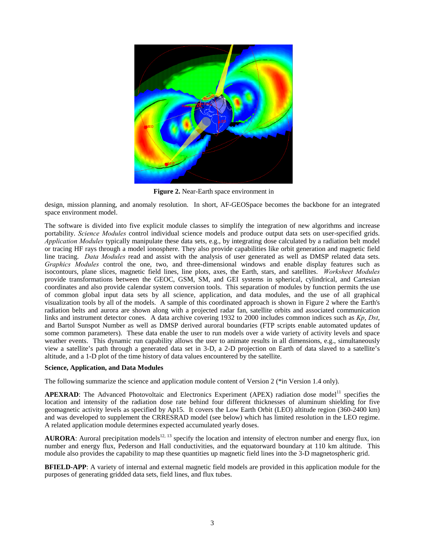

**Figure 2.** Near-Earth space environment in

design, mission planning, and anomaly resolution. In short, AF-GEOSpace becomes the backbone for an integrated space environment model.

The software is divided into five explicit module classes to simplify the integration of new algorithms and increase portability. *Science Modules* control individual science models and produce output data sets on user-specified grids. *Application Modules* typically manipulate these data sets, e.g., by integrating dose calculated by a radiation belt model or tracing HF rays through a model ionosphere. They also provide capabilities like orbit generation and magnetic field line tracing. *Data Modules* read and assist with the analysis of user generated as well as DMSP related data sets. *Graphics Modules* control the one, two, and three-dimensional windows and enable display features such as isocontours, plane slices, magnetic field lines, line plots, axes, the Earth, stars, and satellites. *Worksheet Modules* provide transformations between the GEOC, GSM, SM, and GEI systems in spherical, cylindrical, and Cartesian coordinates and also provide calendar system conversion tools. This separation of modules by function permits the use of common global input data sets by all science, application, and data modules, and the use of all graphical visualization tools by all of the models. A sample of this coordinated approach is shown in Figure 2 where the Earth's radiation belts and aurora are shown along with a projected radar fan, satellite orbits and associated communication links and instrument detector cones. A data archive covering 1932 to 2000 includes common indices such as *Kp*, *Dst*, and Bartol Sunspot Number as well as DMSP derived auroral boundaries (FTP scripts enable automated updates of some common parameters). These data enable the user to run models over a wide variety of activity levels and space weather events. This dynamic run capability allows the user to animate results in all dimensions, e.g., simultaneously view a satellite's path through a generated data set in 3-D, a 2-D projection on Earth of data slaved to a satellite's altitude, and a 1-D plot of the time history of data values encountered by the satellite.

#### **Science, Application, and Data Modules**

The following summarize the science and application module content of Version 2 (\*in Version 1.4 only).

**APEXRAD**: The Advanced Photovoltaic and Electronics Experiment (APEX) radiation dose model<sup>11</sup> specifies the location and intensity of the radiation dose rate behind four different thicknesses of aluminum shielding for five geomagnetic activity levels as specified by Ap15. It covers the Low Earth Orbit (LEO) altitude region (360-2400 km) and was developed to supplement the CRRESRAD model (see below) which has limited resolution in the LEO regime. A related application module determines expected accumulated yearly doses.

**AURORA:** Auroral precipitation models<sup>12, 13</sup> specify the location and intensity of electron number and energy flux, ion number and energy flux, Pederson and Hall conductivities, and the equatorward boundary at 110 km altitude. This module also provides the capability to map these quantities up magnetic field lines into the 3-D magnetospheric grid.

**BFIELD-APP**: A variety of internal and external magnetic field models are provided in this application module for the purposes of generating gridded data sets, field lines, and flux tubes.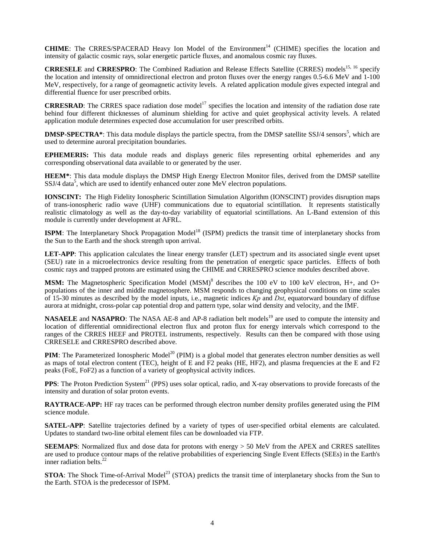**CHIME**: The CRRES/SPACERAD Heavy Ion Model of the Environment<sup>14</sup> (CHIME) specifies the location and intensity of galactic cosmic rays, solar energetic particle fluxes, and anomalous cosmic ray fluxes.

**CRRESELE** and **CRRESPRO**: The Combined Radiation and Release Effects Satellite (CRRES) models<sup>15, 16</sup> specify the location and intensity of omnidirectional electron and proton fluxes over the energy ranges 0.5-6.6 MeV and 1-100 MeV, respectively, for a range of geomagnetic activity levels. A related application module gives expected integral and differential fluence for user prescribed orbits.

**CRRESRAD**: The CRRES space radiation dose model<sup>17</sup> specifies the location and intensity of the radiation dose rate behind four different thicknesses of aluminum shielding for active and quiet geophysical activity levels. A related application module determines expected dose accumulation for user prescribed orbits.

**DMSP-SPECTRA\***: This data module displays the particle spectra, from the DMSP satellite SSJ/4 sensors<sup>5</sup>, which are used to determine auroral precipitation boundaries.

**EPHEMERIS:** This data module reads and displays generic files representing orbital ephemerides and any corresponding observational data available to or generated by the user.

**HEEM\***: This data module displays the DMSP High Energy Electron Monitor files, derived from the DMSP satellite  $SSJ/4$  data<sup>5</sup>, which are used to identify enhanced outer zone MeV electron populations.

**IONSCINT:** The High Fidelity Ionospheric Scintillation Simulation Algorithm (IONSCINT) provides disruption maps of trans-ionospheric radio wave (UHF) communications due to equatorial scintillation. It represents statistically realistic climatology as well as the day-to-day variability of equatorial scintillations. An L-Band extension of this module is currently under development at AFRL.

**ISPM**: The Interplanetary Shock Propagation Model<sup>18</sup> (ISPM) predicts the transit time of interplanetary shocks from the Sun to the Earth and the shock strength upon arrival.

**LET-APP**: This application calculates the linear energy transfer (LET) spectrum and its associated single event upset (SEU) rate in a microelectronics device resulting from the penetration of energetic space particles. Effects of both cosmic rays and trapped protons are estimated using the CHIME and CRRESPRO science modules described above.

MSM: The Magnetospheric Specification Model (MSM)<sup>8</sup> describes the 100 eV to 100 keV electron, H+, and O+ populations of the inner and middle magnetosphere. MSM responds to changing geophysical conditions on time scales of 15-30 minutes as described by the model inputs, i.e., magnetic indices *Kp* and *Dst*, equatorward boundary of diffuse aurora at midnight, cross-polar cap potential drop and pattern type, solar wind density and velocity, and the IMF.

**NASAELE** and **NASAPRO**: The NASA AE-8 and AP-8 radiation belt models<sup>19</sup> are used to compute the intensity and location of differential omnidirectional electron flux and proton flux for energy intervals which correspond to the ranges of the CRRES HEEF and PROTEL instruments, respectively. Results can then be compared with those using CRRESELE and CRRESPRO described above.

**PIM**: The Parameterized Ionospheric Model<sup>20</sup> (PIM) is a global model that generates electron number densities as well as maps of total electron content (TEC), height of E and F2 peaks (HE, HF2), and plasma frequencies at the E and F2 peaks (FoE, FoF2) as a function of a variety of geophysical activity indices.

**PPS**: The Proton Prediction System<sup>21</sup> (PPS) uses solar optical, radio, and X-ray observations to provide forecasts of the intensity and duration of solar proton events.

**RAYTRACE-APP:** HF ray traces can be performed through electron number density profiles generated using the PIM science module.

**SATEL-APP**: Satellite trajectories defined by a variety of types of user-specified orbital elements are calculated. Updates to standard two-line orbital element files can be downloaded via FTP.

**SEEMAPS**: Normalized flux and dose data for protons with energy > 50 MeV from the APEX and CRRES satellites are used to produce contour maps of the relative probabilities of experiencing Single Event Effects (SEEs) in the Earth's inner radiation belts. $^{22}$ 

**STOA**: The Shock Time-of-Arrival Model<sup>23</sup> (STOA) predicts the transit time of interplanetary shocks from the Sun to the Earth. STOA is the predecessor of ISPM.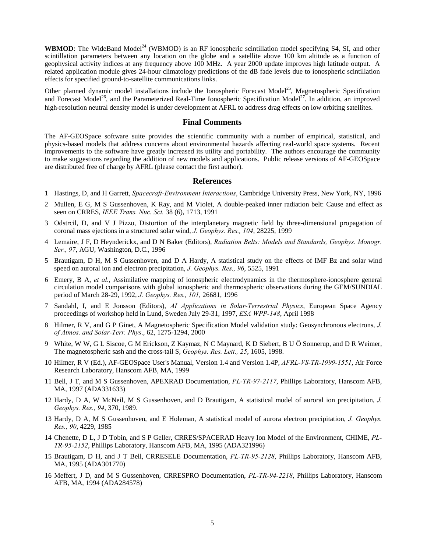**WBMOD**: The WideBand Model<sup>24</sup> (WBMOD) is an RF ionospheric scintillation model specifying S4, SI, and other scintillation parameters between any location on the globe and a satellite above 100 km altitude as a function of geophysical activity indices at any frequency above 100 MHz. A year 2000 update improves high latitude output. A related application module gives 24-hour climatology predictions of the dB fade levels due to ionospheric scintillation effects for specified ground-to-satellite communications links.

Other planned dynamic model installations include the Ionospheric Forecast Model<sup>25</sup>, Magnetospheric Specification and Forecast Model<sup>26</sup>, and the Parameterized Real-Time Ionospheric Specification Model<sup>27</sup>. In addition, an improved high-resolution neutral density model is under development at AFRL to address drag effects on low orbiting satellites.

### **Final Comments**

The AF-GEOSpace software suite provides the scientific community with a number of empirical, statistical, and physics-based models that address concerns about environmental hazards affecting real-world space systems. Recent improvements to the software have greatly increased its utility and portability. The authors encourage the community to make suggestions regarding the addition of new models and applications. Public release versions of AF-GEOSpace are distributed free of charge by AFRL (please contact the first author).

## **References**

- 1 Hastings, D, and H Garrett, *Spacecraft-Environment Interactions*, Cambridge University Press, New York, NY, 1996
- 2 Mullen, E G, M S Gussenhoven, K Ray, and M Violet, A double-peaked inner radiation belt: Cause and effect as seen on CRRES, *IEEE Trans. Nuc. Sci.* 38 (6), 1713, 1991
- 3 Odstrcil, D, and V J Pizzo, Distortion of the interplanetary magnetic field by three-dimensional propagation of coronal mass ejections in a structured solar wind, *J. Geophys. Res., 104*, 28225, 1999
- 4 Lemaire, J F, D Heynderickx, and D N Baker (Editors), *Radiation Belts: Models and Standards, Geophys. Monogr. Ser., 97*, AGU, Washington, D.C., 1996
- 5 Brautigam, D H, M S Gussenhoven, and D A Hardy, A statistical study on the effects of IMF Bz and solar wind speed on auroral ion and electron precipitation, *J. Geophys. Res., 96*, 5525, 1991
- 6 Emery, B A, *et al.*, Assimilative mapping of ionospheric electrodynamics in the thermosphere-ionosphere general circulation model comparisons with global ionospheric and thermospheric observations during the GEM/SUNDIAL period of March 28-29, 1992, *J. Geophys. Res., 101*, 26681, 1996
- 7 Sandahl, I, and E Jonsson (Editors), *AI Applications in Solar-Terrestrial Physics*, European Space Agency proceedings of workshop held in Lund, Sweden July 29-31, 1997, *ESA WPP-148*, April 1998
- 8 Hilmer, R V, and G P Ginet, A Magnetospheric Specification Model validation study: Geosynchronous electrons, *J. of Atmos. and Solar-Terr. Phys*., 62, 1275-1294, 2000
- 9 White, W W, G L Siscoe, G M Erickson, Z Kaymaz, N C Maynard, K D Siebert, B U Ö Sonnerup, and D R Weimer, The magnetospheric sash and the cross-tail S, *Geophys. Res. Lett., 25*, 1605, 1998.
- 10 Hilmer, R V (Ed.), AF-GEOSpace User's Manual, Version 1.4 and Version 1.4P, *AFRL-VS-TR-1999-1551*, Air Force Research Laboratory, Hanscom AFB, MA, 1999
- 11 Bell, J T, and M S Gussenhoven, APEXRAD Documentation, *PL-TR-97-2117*, Phillips Laboratory, Hanscom AFB, MA, 1997 (ADA331633)
- 12 Hardy, D A, W McNeil, M S Gussenhoven, and D Brautigam, A statistical model of auroral ion precipitation, *J. Geophys. Res., 94*, 370, 1989.
- 13 Hardy, D A, M S Gussenhoven, and E Holeman, A statistical model of aurora electron precipitation, *J. Geophys. Res., 90*, 4229, 1985
- 14 Chenette, D L, J D Tobin, and S P Geller, CRRES/SPACERAD Heavy Ion Model of the Environment, CHIME, *PL-TR-95-2152*, Phillips Laboratory, Hanscom AFB, MA, 1995 (ADA321996)
- 15 Brautigam, D H, and J T Bell, CRRESELE Documentation, *PL-TR-95-2128*, Phillips Laboratory, Hanscom AFB, MA, 1995 (ADA301770)
- 16 Meffert, J D, and M S Gussenhoven, CRRESPRO Documentation, *PL-TR-94-2218*, Phillips Laboratory, Hanscom AFB, MA, 1994 (ADA284578)